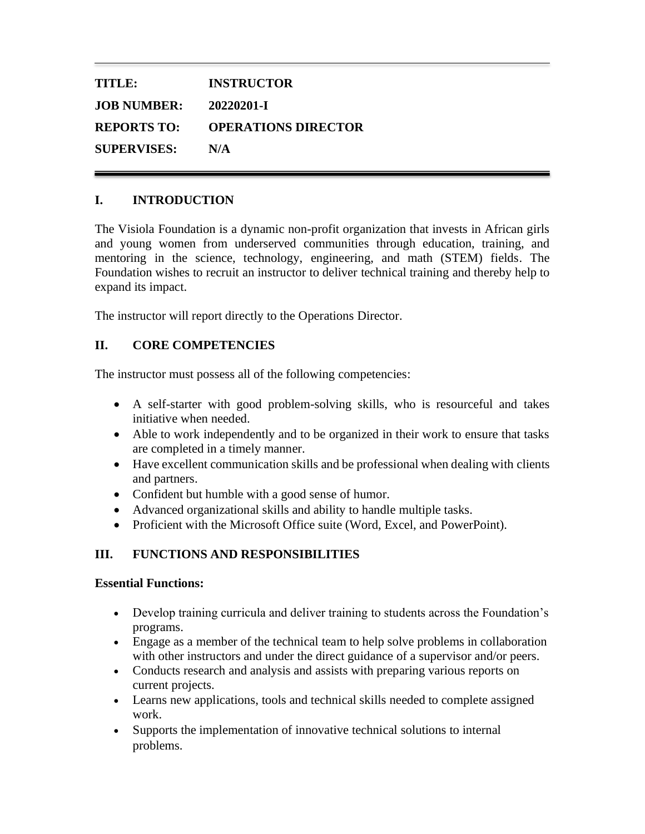| <b>TITLE:</b>      | <b>INSTRUCTOR</b>          |
|--------------------|----------------------------|
| <b>JOB NUMBER:</b> | 20220201-T                 |
| <b>REPORTS TO:</b> | <b>OPERATIONS DIRECTOR</b> |
| <b>SUPERVISES:</b> | N/A                        |

### **I. INTRODUCTION**

The Visiola Foundation is a dynamic non-profit organization that invests in African girls and young women from underserved communities through education, training, and mentoring in the science, technology, engineering, and math (STEM) fields. The Foundation wishes to recruit an instructor to deliver technical training and thereby help to expand its impact.

The instructor will report directly to the Operations Director.

#### **II. CORE COMPETENCIES**

The instructor must possess all of the following competencies:

- A self-starter with good problem-solving skills, who is resourceful and takes initiative when needed.
- Able to work independently and to be organized in their work to ensure that tasks are completed in a timely manner.
- Have excellent communication skills and be professional when dealing with clients and partners.
- Confident but humble with a good sense of humor.
- Advanced organizational skills and ability to handle multiple tasks.
- Proficient with the Microsoft Office suite (Word, Excel, and PowerPoint).

## **III. FUNCTIONS AND RESPONSIBILITIES**

#### **Essential Functions:**

- Develop training curricula and deliver training to students across the Foundation's programs.
- Engage as a member of the technical team to help solve problems in collaboration with other instructors and under the direct guidance of a supervisor and/or peers.
- Conducts research and analysis and assists with preparing various reports on current projects.
- Learns new applications, tools and technical skills needed to complete assigned work.
- Supports the implementation of innovative technical solutions to internal problems.